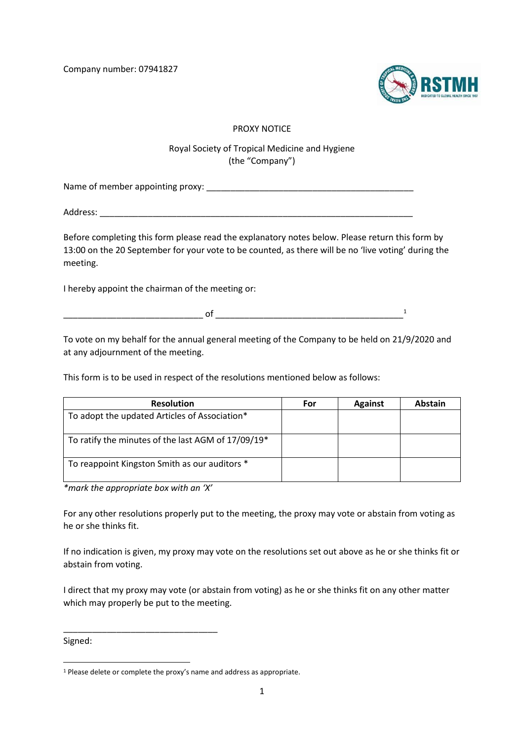Company number: 07941827



## PROXY NOTICE

## Royal Society of Tropical Medicine and Hygiene (the "Company")

Name of member appointing proxy: \_\_\_\_\_\_\_\_\_\_\_\_\_\_\_\_\_\_\_\_\_\_\_\_\_\_\_\_\_\_\_\_\_\_\_\_\_\_\_\_\_\_\_

Address: \_\_\_\_\_\_\_\_\_\_\_\_\_\_\_\_\_\_\_\_\_\_\_\_\_\_\_\_\_\_\_\_\_\_\_\_\_\_\_\_\_\_\_\_\_\_\_\_\_\_\_\_\_\_\_\_\_\_\_\_\_\_\_\_\_

Before completing this form please read the explanatory notes below. Please return this form by 13:00 on the 20 September for your vote to be counted, as there will be no 'live voting' during the meeting.

I hereby appoint the chairman of the meeting or:

 $\circ$  of  $\qquad \qquad$   $\qquad$ 

To vote on my behalf for the annual general meeting of the Company to be held on 21/9/2020 and at any adjournment of the meeting.

This form is to be used in respect of the resolutions mentioned below as follows:

| <b>Resolution</b>                                  | For | <b>Against</b> | Abstain |
|----------------------------------------------------|-----|----------------|---------|
| To adopt the updated Articles of Association*      |     |                |         |
| To ratify the minutes of the last AGM of 17/09/19* |     |                |         |
| To reappoint Kingston Smith as our auditors *      |     |                |         |

*\*mark the appropriate box with an 'X'*

\_\_\_\_\_\_\_\_\_\_\_\_\_\_\_\_\_\_\_\_\_\_\_\_\_\_\_\_\_\_\_\_

For any other resolutions properly put to the meeting, the proxy may vote or abstain from voting as he or she thinks fit.

If no indication is given, my proxy may vote on the resolutions set out above as he or she thinks fit or abstain from voting.

I direct that my proxy may vote (or abstain from voting) as he or she thinks fit on any other matter which may properly be put to the meeting.

Signed:

<sup>&</sup>lt;sup>1</sup> Please delete or complete the proxy's name and address as appropriate.